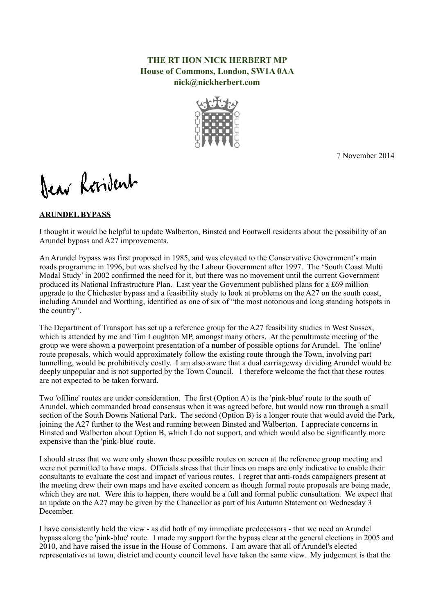## **THE RT HON NICK HERBERT MP House of Commons, London, SW1A 0AA nick@nickherbert.com**



7 November 2014

Dear Resident

## **ARUNDEL BYPASS**

I thought it would be helpful to update Walberton, Binsted and Fontwell residents about the possibility of an Arundel bypass and A27 improvements.

An Arundel bypass was first proposed in 1985, and was elevated to the Conservative Government's main roads programme in 1996, but was shelved by the Labour Government after 1997. The 'South Coast Multi Modal Study' in 2002 confirmed the need for it, but there was no movement until the current Government produced its National Infrastructure Plan. Last year the Government published plans for a £69 million upgrade to the Chichester bypass and a feasibility study to look at problems on the A27 on the south coast, including Arundel and Worthing, identified as one of six of "the most notorious and long standing hotspots in the country".

The Department of Transport has set up a reference group for the A27 feasibility studies in West Sussex, which is attended by me and Tim Loughton MP, amongst many others. At the penultimate meeting of the group we were shown a powerpoint presentation of a number of possible options for Arundel. The 'online' route proposals, which would approximately follow the existing route through the Town, involving part tunnelling, would be prohibitively costly. I am also aware that a dual carriageway dividing Arundel would be deeply unpopular and is not supported by the Town Council. I therefore welcome the fact that these routes are not expected to be taken forward.

Two 'offline' routes are under consideration. The first (Option A) is the 'pink-blue' route to the south of Arundel, which commanded broad consensus when it was agreed before, but would now run through a small section of the South Downs National Park. The second (Option B) is a longer route that would avoid the Park, joining the A27 further to the West and running between Binsted and Walberton. I appreciate concerns in Binsted and Walberton about Option B, which I do not support, and which would also be significantly more expensive than the 'pink-blue' route.

I should stress that we were only shown these possible routes on screen at the reference group meeting and were not permitted to have maps. Officials stress that their lines on maps are only indicative to enable their consultants to evaluate the cost and impact of various routes. I regret that anti-roads campaigners present at the meeting drew their own maps and have excited concern as though formal route proposals are being made, which they are not. Were this to happen, there would be a full and formal public consultation. We expect that an update on the A27 may be given by the Chancellor as part of his Autumn Statement on Wednesday 3 December.

I have consistently held the view - as did both of my immediate predecessors - that we need an Arundel bypass along the 'pink-blue' route. I made my support for the bypass clear at the general elections in 2005 and 2010, and have raised the issue in the House of Commons. I am aware that all of Arundel's elected representatives at town, district and county council level have taken the same view. My judgement is that the